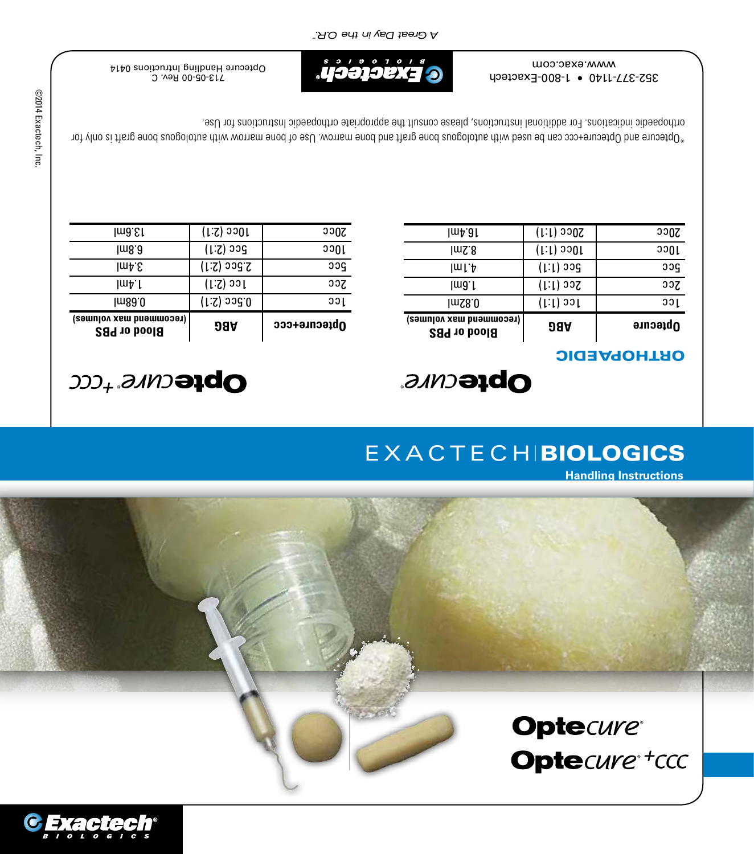

## **Optecure®** Optecure\*tccc

# **Handling Instructions**

## **EXACTECH BIOLOGICS**

## *CDHeCMR<sup>+</sup>+CCC</sup>*

| (recommend max volumes)<br><b>Blood or PBS</b> | 98A          | Optecure+ccc |
|------------------------------------------------|--------------|--------------|
| lm8∂.0                                         | 0.5cc (2:1)  | ววเ          |
| lmA.I                                          | $(1:Z)$ ool  | Scc          |
| lm <sub>4.</sub> g                             | 2.5cc (2:1)  | pcc          |
| lm8.∂                                          | $(1:Z)$ asg  | ວວ∩ເ         |
| lma.El                                         | $(1:2)$ 3301 | 20cc         |
|                                                |              |              |

## **Optecure**

### ORTHOPAEDIC

| (recommend max volumes)<br><b>Blood or PBS</b> | 98A               | Optecure |
|------------------------------------------------|-------------------|----------|
| ImS8.0                                         | $(1:1)$ oof       | ວວເ      |
| lmð. l                                         | $(1:1)$ ass       | ეეუ      |
| lml.A                                          | 5cc (1:1)         | ეეი      |
| lmS.8                                          | $(1:1)$ and $1:1$ | ວວທູເ    |
| յաք 9լ                                         | $(1:1)$ 300S      | აა0s     |
|                                                |                   |          |

 $^*$ Optecure and Optecure+ccc can be used with autologous bone graft and bone marrow. Use of bone marrow with autopous bone graft is only for orthopaedic indications. For additional instructions, please consult the appropriate orthopaedic Instructions for Use.

ev. C 713-05-00 R Optecure Handling Intructions 0414



352-377-1140 • 1-800-Exactech www.exac.com